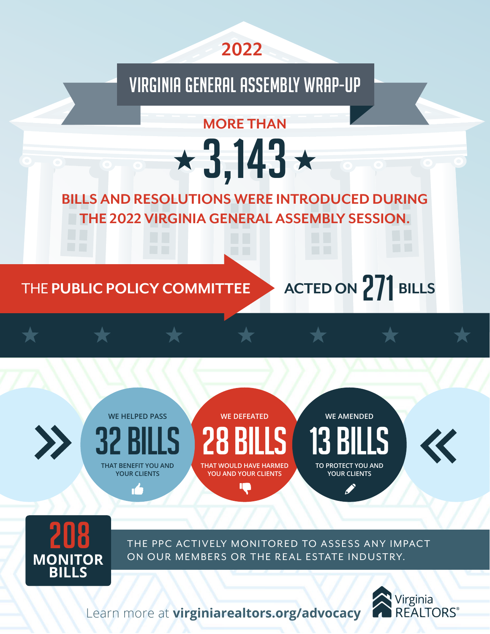

# VIRGINIA GENERAL ASSEMBLY WRAP-UP

 $\star$ 3,143 $\star$ 

**MORE THAN** 

**BILLS AND RESOLUTIONS WERE INTRODUCED DURING THE 2022 VIRGINIA GENERAL ASSEMBLY SESSION.**

### THE **PUBLIC POLICY COMMITTEE**

**ACTED ON** 271 **BILLS**





Learn more at **[virginiarealtors.org/advocacy](http://virginiarealtors.org/advocacy)**